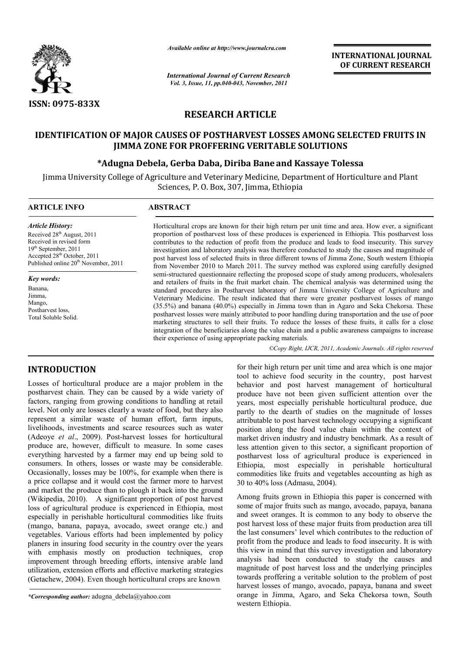

*Available online at http://www.journalcra.com*

*International Journal of Current Research Vol. 3, Issue, 11, pp.040-043, November, 2011*

**INTERNATIONAL JOURNAL OF CURRENT RESEARCH** 

# **RESEARCH ARTICLE**

## **IDENTIFICATION OF MAJOR CAUSES OF POSTHARVEST LOSSES AMONG SELECTED FRUITS IN JIMMA ZONE FOR PROFFERING VERITABLE SOLUTIONS**

### **\*Adugna Debela, Gerba Daba, Diriba Bane and Kassaye Tolessa**

Jimma University College of Agriculture and Veterinary Medicine, Department of Horticulture and Plant Sciences, P. O. Box, 307, Jimma, Ethiopia

| <b>ARTICLE INFO</b>                                                                                                                                                                                        | <b>ABSTRACT</b>                                                                                                                                                                                                                                                                                                                                                                                                                                                                                                                                                                                                                                                                                                                                                                                                                                                                           |  |  |  |  |  |
|------------------------------------------------------------------------------------------------------------------------------------------------------------------------------------------------------------|-------------------------------------------------------------------------------------------------------------------------------------------------------------------------------------------------------------------------------------------------------------------------------------------------------------------------------------------------------------------------------------------------------------------------------------------------------------------------------------------------------------------------------------------------------------------------------------------------------------------------------------------------------------------------------------------------------------------------------------------------------------------------------------------------------------------------------------------------------------------------------------------|--|--|--|--|--|
| <b>Article History:</b><br>Received 28 <sup>th</sup> August, 2011<br>Received in revised form<br>$19th$ September, 2011<br>Accepted 28th October, 2011<br>Published online 20 <sup>th</sup> November, 2011 | Horticultural crops are known for their high return per unit time and area. How ever, a significant<br>proportion of postharvest loss of these produces is experienced in Ethiopia. This postharvest loss<br>contributes to the reduction of profit from the produce and leads to food insecurity. This survey<br>investigation and laboratory analysis was therefore conducted to study the causes and magnitude of<br>post harvest loss of selected fruits in three different towns of Jimma Zone, South western Ethiopia<br>from November 2010 to March 2011. The survey method was explored using carefully designed                                                                                                                                                                                                                                                                  |  |  |  |  |  |
| <b>Key words:</b><br>Banana.<br>Jimma,<br>Mango,<br>Postharvest loss.<br>Total Soluble Solid.                                                                                                              | semi-structured questionnaire reflecting the proposed scope of study among producers, wholesalers<br>and retailers of fruits in the fruit market chain. The chemical analysis was determined using the<br>standard procedures in Postharvest laboratory of Jimma University College of Agriculture and<br>Veterinary Medicine. The result indicated that there were greater postharvest losses of mango<br>(35.5%) and banana (40.0%) especially in Jimma town than in Agaro and Seka Chekorsa. These<br>postharvest losses were mainly attributed to poor handling during transportation and the use of poor<br>marketing structures to sell their fruits. To reduce the losses of these fruits, it calls for a close<br>integration of the beneficiaries along the value chain and a public awareness campaigns to increase<br>their experience of using appropriate packing materials. |  |  |  |  |  |

# **INTRODUCTION**

Losses of horticultural produce are a major problem in the postharvest chain. They can be caused by a wide variety of factors, ranging from growing conditions to handling at retail level. Not only are losses clearly a waste of food, but they also represent a similar waste of human effort, farm inputs, livelihoods, investments and scarce resources such as water (Adeoye *et al*., 2009). Post-harvest losses for horticultural produce are, however, difficult to measure. In some cases everything harvested by a farmer may end up being sold to consumers. In others, losses or waste may be considerable. Occasionally, losses may be 100%, for example when there is a price collapse and it would cost the farmer more to harvest and market the produce than to plough it back into the ground (Wikipedia, 2010). A significant proportion of post harvest loss of agricultural produce is experienced in Ethiopia, most especially in perishable horticultural commodities like fruits (mango, banana, papaya, avocado, sweet orange etc.) and vegetables. Various efforts had been implemented by policy planers in insuring food security in the country over the years with emphasis mostly on production techniques, crop improvement through breeding efforts, intensive arable land utilization, extension efforts and effective marketing strategies (Getachew, 2004). Even though horticultural crops are known

for their high return per unit time and area which is one major tool to achieve food security in the country, post harvest behavior and post harvest management of horticultural produce have not been given sufficient attention over the years, most especially perishable horticultural produce, due partly to the dearth of studies on the magnitude of losses attributable to post harvest technology occupying a significant position along the food value chain within the context of market driven industry and industry benchmark. As a result of less attention given to this sector, a significant proportion of postharvest loss of agricultural produce is experienced in Ethiopia, most especially in perishable horticultural commodities like fruits and vegetables accounting as high as 30 to 40% loss (Admasu, 2004).

Among fruits grown in Ethiopia this paper is concerned with some of major fruits such as mango, avocado, papaya, banana and sweet oranges. It is common to any body to observe the post harvest loss of these major fruits from production area till the last consumers' level which contributes to the reduction of profit from the produce and leads to food insecurity. It is with this view in mind that this survey investigation and laboratory analysis had been conducted to study the causes and magnitude of post harvest loss and the underlying principles towards proffering a veritable solution to the problem of post harvest losses of mango, avocado, papaya, banana and sweet orange in Jimma, Agaro, and Seka Chekorsa town, South western Ethiopia.

*<sup>\*</sup>Corresponding author:* adugna\_debela@yahoo.com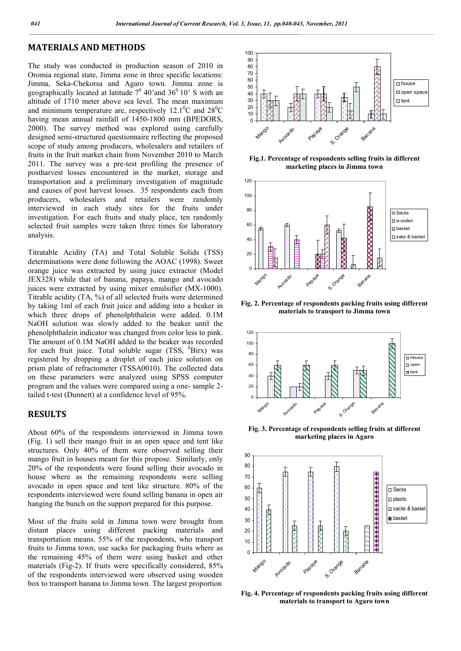### **MATERIALS AND METHODS**

The study was conducted in production season of 2010 in Oromia regional state, Jimma zone in three specific locations: Jimma, Seka-Chekorsa and Agaro town. Jimma zone is geographically located at latitude  $7^0$  40'and 36<sup>0</sup> 10' S with an altitude of 1710 meter above sea level. The mean maximum and minimum temperature are, respectively 12.1<sup>o</sup>C and  $28^{\circ}$ C having mean annual rainfall of 1450-1800 mm (BPEDORS, 2000). The survey method was explored using carefully designed semi-structured questionnaire reflecting the proposed scope of study among producers, wholesalers and retailers of fruits in the fruit market chain from November 2010 to March 2011. The survey was a pre-test profiling the presence of postharvest losses encountered in the market, storage and transportation and a preliminary investigation of magnitude and causes of post harvest losses. 35 respondents each from producers, wholesalers and retailers were randomly interviewed in each study sites for the fruits under investigation. For each fruits and study place, ten randomly selected fruit samples were taken three times for laboratory analysis.

Titratable Acidity (TA) and Total Soluble Solids (TSS) determinations were done following the AOAC (1998). Sweet orange juice was extracted by using juice extractor (Model JEX328) while that of banana, papaya, mango and avocado juices were extracted by using mixer emulsifier (MX-1000). Titrable acidity (TA, %) of all selected fruits were determined by taking 1ml of each fruit juice and adding into a beaker in which three drops of phenolphthalein were added. 0.1M NaOH solution was slowly added to the beaker until the phenolphthalein indicator was changed from color less to pink. The amount of 0.1M NaOH added to the beaker was recorded for each fruit juice. Total soluble sugar (TSS, <sup>0</sup>Birx) was registered by dropping a droplet of each juice solution on prism plate of refractometer (TSSA0010). The collected data on these parameters were analyzed using SPSS computer program and the values were compared using a one- sample 2 tailed t-test (Dunnett) at a confidence level of 95%.

#### **RESULTS**

About 60% of the respondents interviewed in Jimma town (Fig. 1) sell their mango fruit in an open space and tent like structures. Only 40% of them were observed selling their mango fruit in houses meant for this propose. Similarly, only 20% of the respondents were found selling their avocado in house where as the remaining respondents were selling avocado in open space and tent like structure. 80% of the respondents interviewed were found selling banana in open air hanging the bunch on the support prepared for this purpose.

Most of the fruits sold in Jimma town were brought from distant places using different packing materials and transportation means. 55% of the respondents, who transport fruits to Jimma town, use sacks for packaging fruits where as the remaining 45% of them were using basket and other materials (Fig-2). If fruits were specifically considered, 85% of the respondents interviewed were observed using wooden box to transport banana to Jimma town. The largest proportion



**Fig.1. Percentage of respondents selling fruits in different marketing places in Jimma town**



**Fig. 2. Percentage of respondents packing fruits using different materials to transport to Jimma town**



**Fig. 3. Percentage of respondents selling fruits at different marketing places in Agaro**



**Fig. 4. Percentage of respondents packing fruits using different materials to transport to Agaro town**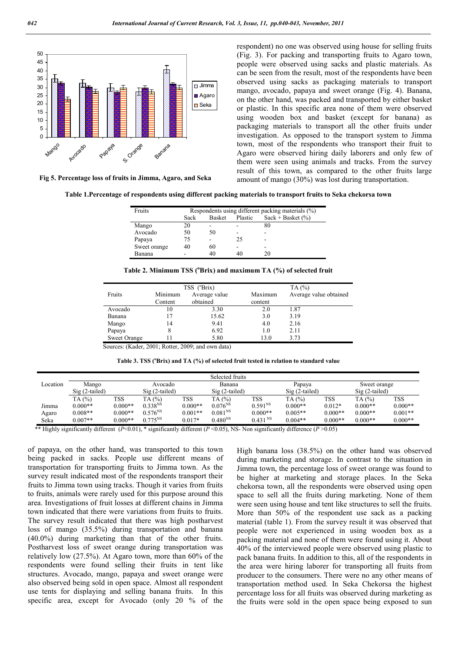

**Fig 5. Percentage loss of fruits in Jimma, Agaro, and Seka**

respondent) no one was observed using house for selling fruits (Fig. 3). For packing and transporting fruits to Agaro town, people were observed using sacks and plastic materials. As can be seen from the result, most of the respondents have been observed using sacks as packaging materials to transport mango, avocado, papaya and sweet orange (Fig. 4). Banana, on the other hand, was packed and transported by either basket or plastic. In this specific area none of them were observed using wooden box and basket (except for banana) as packaging materials to transport all the other fruits under investigation. As opposed to the transport system to Jimma town, most of the respondents who transport their fruit to Agaro were observed hiring daily laborers and only few of them were seen using animals and tracks. From the survey result of this town, as compared to the other fruits large amount of mango (30%) was lost during transportation.

**Table 1.Percentage of respondents using different packing materials to transport fruits to Seka chekorsa town**

| Fruits       | Respondents using different packing materials (%) |               |         |                     |  |  |
|--------------|---------------------------------------------------|---------------|---------|---------------------|--|--|
|              | Sack                                              | <b>Basket</b> | Plastic | $Sack + Basket (%)$ |  |  |
| Mango        | 20                                                |               |         | 80                  |  |  |
| Avocado      | 50                                                | 50            |         |                     |  |  |
| Papaya       | 75                                                |               | 25      |                     |  |  |
| Sweet orange | 40                                                | 60            |         |                     |  |  |
| Banana       |                                                   | 40            | 40      | 20                  |  |  |

|                     |                    | TSS (°Brix)               |                    | TA $(%)$               |
|---------------------|--------------------|---------------------------|--------------------|------------------------|
| Fruits              | Minimum<br>Content | Average value<br>obtained | Maximum<br>content | Average value obtained |
| Avocado             | 10                 | 3.30                      | 2.0                | 1.87                   |
| Banana              | 17                 | 15.62                     | 3.0                | 3.19                   |
| Mango               | 14                 | 9.41                      | 4.0                | 2.16                   |
| Papaya              | 8                  | 6.92                      | 1.0                | 2.11                   |
| <b>Sweet Orange</b> |                    | 5.80                      | 13.0               | 3.73                   |

Sources: (Kader, 2001; Rotter, 2009; and own data)

|  | Table 3. TSS (°Brix) and TA (%) of selected fruit tested in relation to standard value |  |
|--|----------------------------------------------------------------------------------------|--|
|--|----------------------------------------------------------------------------------------|--|

|          |                    |                                                         |                     |           | Selected fruits       |                     |                    |              |                 |            |
|----------|--------------------|---------------------------------------------------------|---------------------|-----------|-----------------------|---------------------|--------------------|--------------|-----------------|------------|
| Location | Mango<br>Avocado   |                                                         |                     | Banana    |                       | Papaya              |                    | Sweet orange |                 |            |
|          | $Sig(2-tailed)$    |                                                         | Sig (2-tailed)      |           | $Sig(2-tailed)$       |                     | Sig (2-tailed)     |              | $Sig(2-tailed)$ |            |
|          | TA(%)              | TSS                                                     | TA (%)              | TSS       | TA(%)                 | TSS                 | TA(%)              | TSS          | TA (%)          | <b>TSS</b> |
| Jimma    | $0.000**$          | $0.000**$                                               | 0.338 <sup>NS</sup> | $0.000**$ | $0.076^{NS}$          | $0.591^{NS}$        | $0.000**$          | $0.012*$     | $0.000**$       | $0.000**$  |
| Agaro    | $0.008**$          | $0.000**$                                               | $0.576^{NS}$        | $0.001**$ | $0.081^{\mathrm{NS}}$ | $0.000**$           | $0.005**$          | $0.000**$    | $0.000**$       | $0.001**$  |
| Seka     | $0.007**$          | $0.000**$                                               | $0.775^{NS}$        | $0.017*$  | $0.480^{NS}$          | 0.431 <sup>NS</sup> | $0.004**$          | $0.000**$    | $0.000**$       | $0.000**$  |
| .        | $\cdots$<br>$\sim$ | $\sim$ $\sim$ $\sim$ $\sim$ $\sim$ $\sim$ $\sim$ $\sim$ | $\sim$<br>$\sim$    | $\cdots$  |                       | $\sim$              | $\cdots$<br>$\sim$ |              |                 |            |

\*\* Highly significantly different (*P*<0.01), \* significantly different (*P* <0.05), NS- Non significantly difference (*P* >0.05)

of papaya, on the other hand, was transported to this town being packed in sacks. People use different means of transportation for transporting fruits to Jimma town. As the survey result indicated most of the respondents transport their fruits to Jimma town using tracks. Though it varies from fruits to fruits, animals were rarely used for this purpose around this area. Investigations of fruit losses at different chains in Jimma town indicated that there were variations from fruits to fruits. The survey result indicated that there was high postharvest loss of mango (35.5%) during transportation and banana (40.0%) during marketing than that of the other fruits. Postharvest loss of sweet orange during transportation was relatively low (27.5%). At Agaro town, more than 60% of the respondents were found selling their fruits in tent like structures. Avocado, mango, papaya and sweet orange were also observed being sold in open space. Almost all respondent use tents for displaying and selling banana fruits. In this specific area, except for Avocado (only 20 % of the

High banana loss (38.5%) on the other hand was observed during marketing and storage. In contrast to the situation in Jimma town, the percentage loss of sweet orange was found to be higher at marketing and storage places. In the Seka chekorsa town, all the respondents were observed using open space to sell all the fruits during marketing. None of them were seen using house and tent like structures to sell the fruits. More than 50% of the respondent use sack as a packing material (table 1). From the survey result it was observed that people were not experienced in using wooden box as a packing material and none of them were found using it. About 40% of the interviewed people were observed using plastic to pack banana fruits. In addition to this, all of the respondents in the area were hiring laborer for transporting all fruits from producer to the consumers. There were no any other means of transportation method used. In Seka Chekorsa the highest percentage loss for all fruits was observed during marketing as the fruits were sold in the open space being exposed to sun